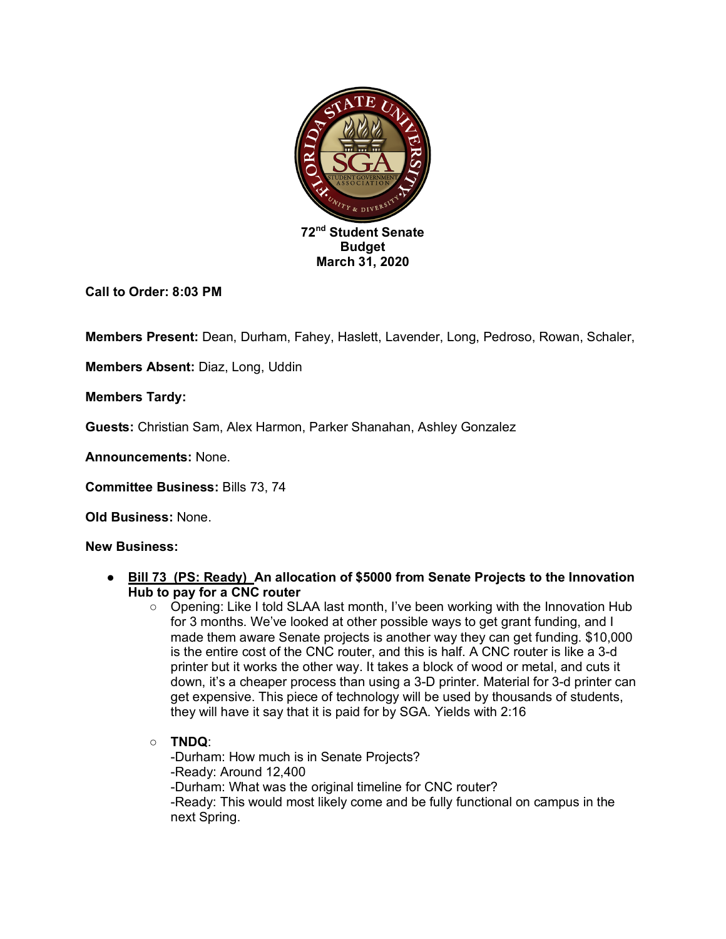

**Call to Order: 8:03 PM**

**Members Present:** Dean, Durham, Fahey, Haslett, Lavender, Long, Pedroso, Rowan, Schaler,

**Members Absent:** Diaz, Long, Uddin

**Members Tardy:** 

**Guests:** Christian Sam, Alex Harmon, Parker Shanahan, Ashley Gonzalez

**Announcements:** None.

**Committee Business:** Bills 73, 74

**Old Business:** None.

## **New Business:**

- **Bill 73 (PS: Ready) An allocation of \$5000 from Senate Projects to the Innovation Hub to pay for a CNC router** 
	- Opening: Like I told SLAA last month, I've been working with the Innovation Hub for 3 months. We've looked at other possible ways to get grant funding, and I made them aware Senate projects is another way they can get funding. \$10,000 is the entire cost of the CNC router, and this is half. A CNC router is like a 3-d printer but it works the other way. It takes a block of wood or metal, and cuts it down, it's a cheaper process than using a 3-D printer. Material for 3-d printer can get expensive. This piece of technology will be used by thousands of students, they will have it say that it is paid for by SGA. Yields with 2:16
	- **TNDQ**: -Durham: How much is in Senate Projects? -Ready: Around 12,400 -Durham: What was the original timeline for CNC router? -Ready: This would most likely come and be fully functional on campus in the next Spring.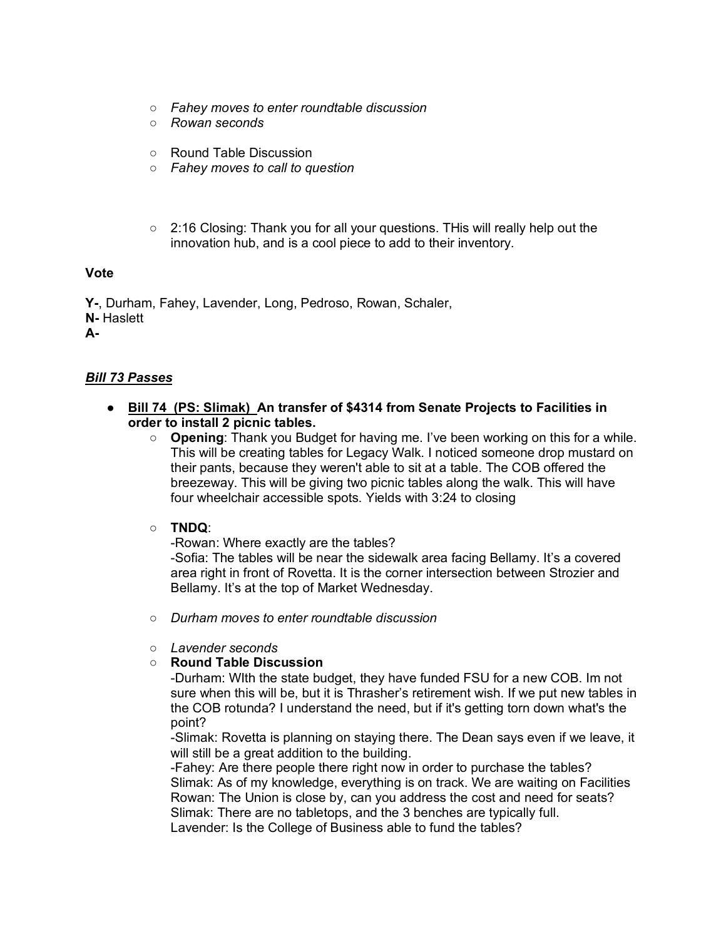- *Fahey moves to enter roundtable discussion*
- *Rowan seconds*
- Round Table Discussion
- *Fahey moves to call to question*
- 2:16 Closing: Thank you for all your questions. THis will really help out the innovation hub, and is a cool piece to add to their inventory.

#### **Vote**

**Y-**, Durham, Fahey, Lavender, Long, Pedroso, Rowan, Schaler, **N-** Haslett **A-**

## *Bill 73 Passes*

- **Bill 74 (PS: Slimak) An transfer of \$4314 from Senate Projects to Facilities in order to install 2 picnic tables.** 
	- **Opening**: Thank you Budget for having me. I've been working on this for a while. This will be creating tables for Legacy Walk. I noticed someone drop mustard on their pants, because they weren't able to sit at a table. The COB offered the breezeway. This will be giving two picnic tables along the walk. This will have four wheelchair accessible spots. Yields with 3:24 to closing

#### ○ **TNDQ**:

-Rowan: Where exactly are the tables?

-Sofia: The tables will be near the sidewalk area facing Bellamy. It's a covered area right in front of Rovetta. It is the corner intersection between Strozier and Bellamy. It's at the top of Market Wednesday.

- *Durham moves to enter roundtable discussion*
- *Lavender seconds*
- **Round Table Discussion**

-Durham: WIth the state budget, they have funded FSU for a new COB. Im not sure when this will be, but it is Thrasher's retirement wish. If we put new tables in the COB rotunda? I understand the need, but if it's getting torn down what's the point?

-Slimak: Rovetta is planning on staying there. The Dean says even if we leave, it will still be a great addition to the building.

-Fahey: Are there people there right now in order to purchase the tables? Slimak: As of my knowledge, everything is on track. We are waiting on Facilities Rowan: The Union is close by, can you address the cost and need for seats? Slimak: There are no tabletops, and the 3 benches are typically full.

Lavender: Is the College of Business able to fund the tables?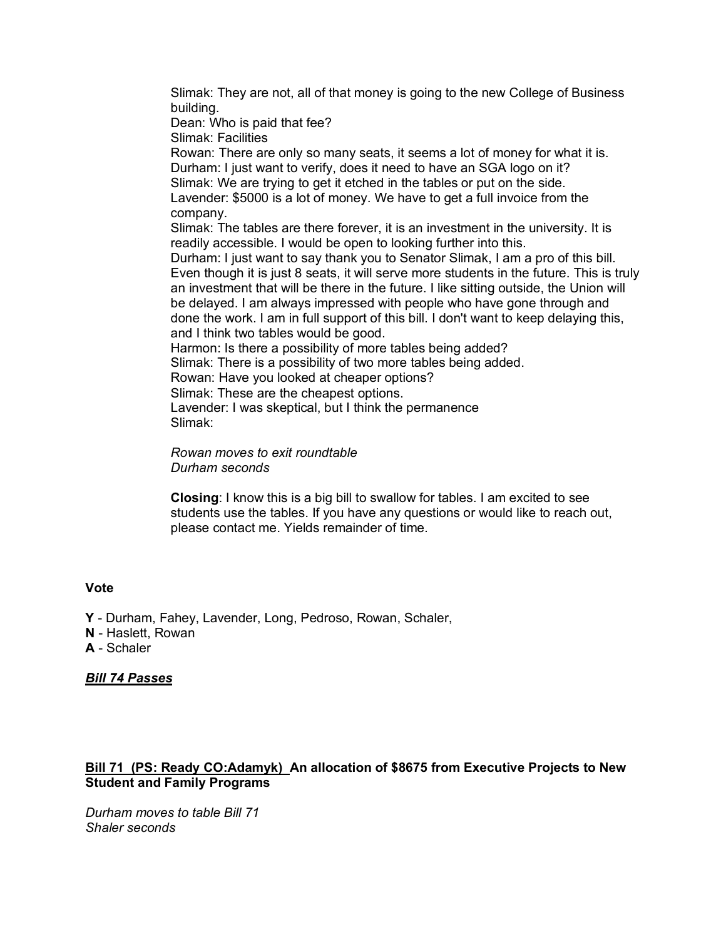Slimak: They are not, all of that money is going to the new College of Business building.

Dean: Who is paid that fee?

Slimak: Facilities

Rowan: There are only so many seats, it seems a lot of money for what it is. Durham: I just want to verify, does it need to have an SGA logo on it? Slimak: We are trying to get it etched in the tables or put on the side. Lavender: \$5000 is a lot of money. We have to get a full invoice from the company.

Slimak: The tables are there forever, it is an investment in the university. It is readily accessible. I would be open to looking further into this.

Durham: I just want to say thank you to Senator Slimak, I am a pro of this bill. Even though it is just 8 seats, it will serve more students in the future. This is truly an investment that will be there in the future. I like sitting outside, the Union will be delayed. I am always impressed with people who have gone through and done the work. I am in full support of this bill. I don't want to keep delaying this, and I think two tables would be good.

Harmon: Is there a possibility of more tables being added?

Slimak: There is a possibility of two more tables being added.

Rowan: Have you looked at cheaper options?

Slimak: These are the cheapest options.

Lavender: I was skeptical, but I think the permanence Slimak:

*Rowan moves to exit roundtable Durham seconds*

**Closing**: I know this is a big bill to swallow for tables. I am excited to see students use the tables. If you have any questions or would like to reach out, please contact me. Yields remainder of time.

#### **Vote**

**Y** - Durham, Fahey, Lavender, Long, Pedroso, Rowan, Schaler,

**N** - Haslett, Rowan

**A** - Schaler

## *Bill 74 Passes*

# **Bill 71 (PS: Ready CO:Adamyk) An allocation of \$8675 from Executive Projects to New Student and Family Programs**

*Durham moves to table Bill 71 Shaler seconds*